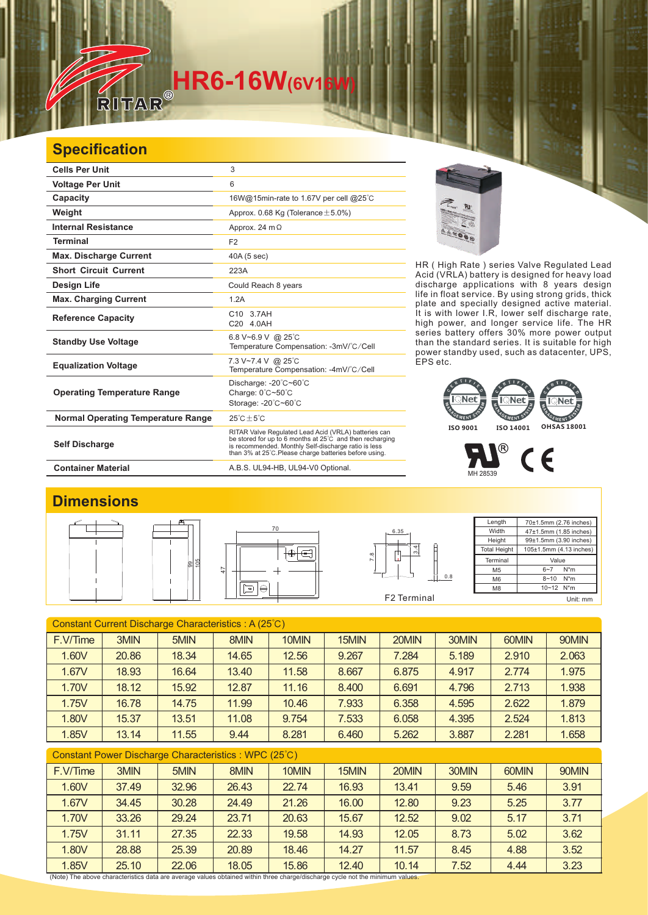## **HR6-16W**(6V16

## **Specification**

| <b>Cells Per Unit</b>                     | 3                                                                                                                                                                                                                                  |
|-------------------------------------------|------------------------------------------------------------------------------------------------------------------------------------------------------------------------------------------------------------------------------------|
| <b>Voltage Per Unit</b>                   | 6                                                                                                                                                                                                                                  |
| Capacity                                  | 16W@15min-rate to 1.67V per cell @25°C                                                                                                                                                                                             |
| Weight                                    | Approx. 0.68 Kg (Tolerance $\pm$ 5.0%)                                                                                                                                                                                             |
| <b>Internal Resistance</b>                | Approx. 24 $m\Omega$                                                                                                                                                                                                               |
| <b>Terminal</b>                           | F <sub>2</sub>                                                                                                                                                                                                                     |
| <b>Max. Discharge Current</b>             | 40A (5 sec)                                                                                                                                                                                                                        |
| <b>Short Circuit Current</b>              | 223A                                                                                                                                                                                                                               |
| <b>Design Life</b>                        | Could Reach 8 years                                                                                                                                                                                                                |
| <b>Max. Charging Current</b>              | 1.2A                                                                                                                                                                                                                               |
| <b>Reference Capacity</b>                 | C10 3.7AH<br>C20 4.0AH                                                                                                                                                                                                             |
| <b>Standby Use Voltage</b>                | 6.8 V~6.9 V @ 25 °C<br>Temperature Compensation: -3mV/°C/Cell                                                                                                                                                                      |
| <b>Equalization Voltage</b>               | 7.3 V~7.4 V @ 25°C<br>Temperature Compensation: -4mV/°C/Cell                                                                                                                                                                       |
| <b>Operating Temperature Range</b>        | Discharge: -20°C~60°C<br>Charge: $0^{\circ}$ C $\sim$ 50 $^{\circ}$ C<br>Storage: -20°C~60°C                                                                                                                                       |
| <b>Normal Operating Temperature Range</b> | $25^{\circ}$ C + 5 $^{\circ}$ C                                                                                                                                                                                                    |
| <b>Self Discharge</b>                     | RITAR Valve Regulated Lead Acid (VRLA) batteries can<br>be stored for up to 6 months at 25°C and then recharging<br>is recommended. Monthly Self-discharge ratio is less<br>than 3% at 25°C. Please charge batteries before using. |
| <b>Container Material</b>                 | A.B.S. UL94-HB, UL94-V0 Optional.                                                                                                                                                                                                  |



HR ( High Rate ) series Valve Regulated Lead Acid (VRLA) battery is designed for heavy load discharge applications with 8 years design life in float service. By using strong grids, thick plate and specially designed active material. It is with lower I.R, lower self discharge rate, high power, and longer service life. The HR series battery offers 30% more power output than the standard series. It is suitable for high power standby used, such as datacenter, UPS, EPS etc.





## **Dimensions**









**Length Width Height** Total Heigh 70±1.5mm (2.76 inches) 47±1.5mm (1.85 inches) 99±1.5mm (3.90 inches) 105±1.5mm (4.13 inches) Terminal M5 M6 M8 Value  $6 - 7$  N<sup>\*</sup>m 8~10 N\*m 10~12 N\*m Unit: mm

| Constant Current Discharge Characteristics: A (25°C)  |       |       |       |       |       |       |       |       |       |  |
|-------------------------------------------------------|-------|-------|-------|-------|-------|-------|-------|-------|-------|--|
| F.V/Time                                              | 3MIN  | 5MIN  | 8MIN  | 10MIN | 15MIN | 20MIN | 30MIN | 60MIN | 90MIN |  |
| 1.60V                                                 | 20.86 | 18.34 | 14.65 | 12.56 | 9.267 | 7.284 | 5.189 | 2.910 | 2.063 |  |
| 1.67V                                                 | 18.93 | 16.64 | 13.40 | 11.58 | 8.667 | 6.875 | 4.917 | 2.774 | 1.975 |  |
| 1.70V                                                 | 18.12 | 15.92 | 12.87 | 11.16 | 8.400 | 6.691 | 4.796 | 2.713 | 1.938 |  |
| 1.75V                                                 | 16.78 | 14.75 | 11.99 | 10.46 | 7.933 | 6.358 | 4.595 | 2.622 | 1.879 |  |
| 1.80V                                                 | 15.37 | 13.51 | 11.08 | 9.754 | 7.533 | 6.058 | 4.395 | 2.524 | 1.813 |  |
| 1.85V                                                 | 13.14 | 11.55 | 9.44  | 8.281 | 6.460 | 5.262 | 3.887 | 2.281 | 1.658 |  |
| Constant Power Discharge Characteristics : WPC (25°C) |       |       |       |       |       |       |       |       |       |  |
| F.V/Time                                              | 3MIN  | 5MIN  | 8MIN  | 10MIN | 15MIN | 20MIN | 30MIN | 60MIN | 90MIN |  |
| 1.60V                                                 | 37.49 | 32.96 | 26.43 | 22.74 | 16.93 | 13.41 | 9.59  | 5.46  | 3.91  |  |

1.67V | 34.45 | 30.28 | 24.49 | 21.26 | 16.00 | 12.80 | 9.23 | 5.25 | 3.77 1.70V | 33.26 | 29.24 | 23.71 | 20.63 | 15.67 | 12.52 | 9.02 | 5.17 | 3.71 1.75V | 31.11 | 27.35 | 22.33 | 19.58 | 14.93 | 12.05 | 8.73 | 5.02 | 3.62 1.80V | 28.88 | 25.39 | 20.89 | 18.46 | 14.27 | 11.57 | 8.45 | 4.88 | 3.52 1.85V 25.10 22.06 18.05 15.86 12.40 10.14 7.52 4.44 3.23

(Note) The above characteristics data are average values obtained within three charge/discharge cycle not the minimum values.